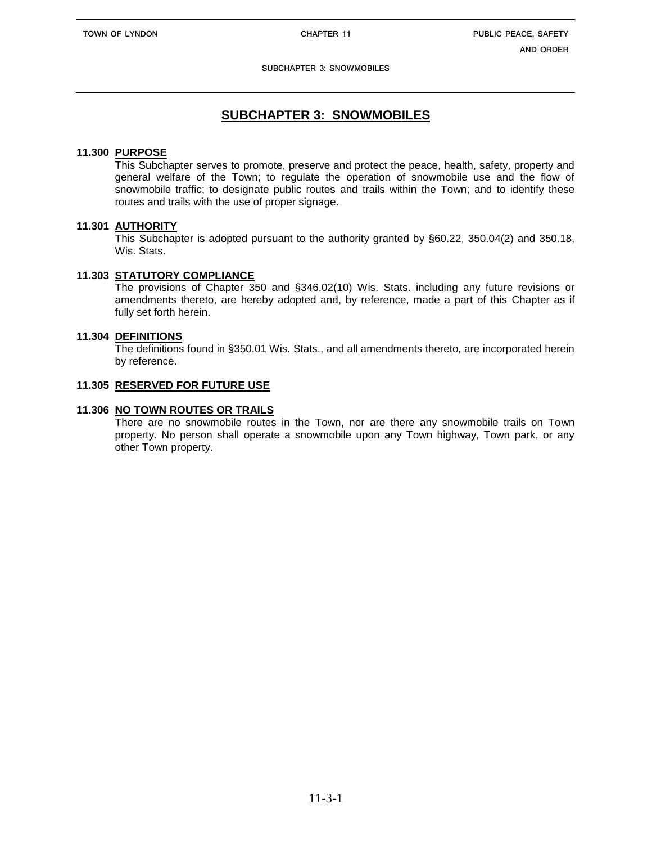**SUBCHAPTER 3: SNOWMOBILES**

# **SUBCHAPTER 3: SNOWMOBILES**

### **11.300 PURPOSE**

This Subchapter serves to promote, preserve and protect the peace, health, safety, property and general welfare of the Town; to regulate the operation of snowmobile use and the flow of snowmobile traffic; to designate public routes and trails within the Town; and to identify these routes and trails with the use of proper signage.

# **11.301 AUTHORITY**

This Subchapter is adopted pursuant to the authority granted by §60.22, 350.04(2) and 350.18, Wis. Stats.

# **11.303 STATUTORY COMPLIANCE**

The provisions of Chapter 350 and §346.02(10) Wis. Stats. including any future revisions or amendments thereto, are hereby adopted and, by reference, made a part of this Chapter as if fully set forth herein.

# **11.304 DEFINITIONS**

The definitions found in §350.01 Wis. Stats., and all amendments thereto, are incorporated herein by reference.

### **11.305 RESERVED FOR FUTURE USE**

### **11.306 NO TOWN ROUTES OR TRAILS**

There are no snowmobile routes in the Town, nor are there any snowmobile trails on Town property. No person shall operate a snowmobile upon any Town highway, Town park, or any other Town property.